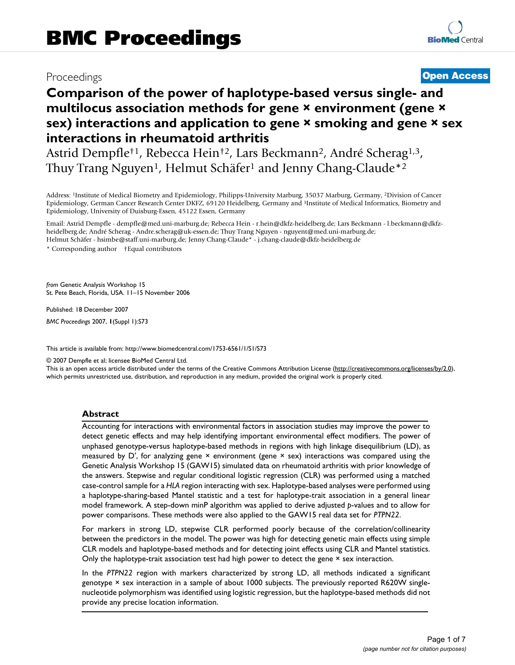# Proceedings **[Open Access](http://www.biomedcentral.com/info/about/charter/)**

# **Comparison of the power of haplotype-based versus single- and multilocus association methods for gene × environment (gene × sex) interactions and application to gene × smoking and gene × sex interactions in rheumatoid arthritis**

Astrid Dempfle†1, Rebecca Hein†2, Lars Beckmann2, André Scherag1,3, Thuy Trang Nguyen<sup>1</sup>, Helmut Schäfer<sup>1</sup> and Jenny Chang-Claude<sup>\*2</sup>

Address: 1Institute of Medical Biometry and Epidemiology, Philipps-University Marburg, 35037 Marburg, Germany, 2Division of Cancer Epidemiology, German Cancer Research Center DKFZ, 69120 Heidelberg, Germany and 3Institute of Medical Informatics, Biometry and Epidemiology, University of Duisburg-Essen, 45122 Essen, Germany

Email: Astrid Dempfle - dempfle@med.uni-marburg.de; Rebecca Hein - r.hein@dkfz-heidelberg.de; Lars Beckmann - l.beckmann@dkfzheidelberg.de; André Scherag - Andre.scherag@uk-essen.de; Thuy Trang Nguyen - nguyent@med.uni-marburg.de; Helmut Schäfer - hsimbe@staff.uni-marburg.de; Jenny Chang-Claude\* - j.chang-claude@dkfz-heidelberg.de

\* Corresponding author †Equal contributors

*from* Genetic Analysis Workshop 15 St. Pete Beach, Florida, USA. 11–15 November 2006

Published: 18 December 2007

*BMC Proceedings* 2007, **1**(Suppl 1):S73

[This article is available from: http://www.biomedcentral.com/1753-6561/1/S1/S73](http://www.biomedcentral.com/1753-6561/1/S1/S73)

© 2007 Dempfle et al; licensee BioMed Central Ltd.

This is an open access article distributed under the terms of the Creative Commons Attribution License [\(http://creativecommons.org/licenses/by/2.0\)](http://creativecommons.org/licenses/by/2.0), which permits unrestricted use, distribution, and reproduction in any medium, provided the original work is properly cited.

#### **Abstract**

Accounting for interactions with environmental factors in association studies may improve the power to detect genetic effects and may help identifying important environmental effect modifiers. The power of unphased genotype-versus haplotype-based methods in regions with high linkage disequilibrium (LD), as measured by  $D'$ , for analyzing gene  $\times$  environment (gene  $\times$  sex) interactions was compared using the Genetic Analysis Workshop 15 (GAW15) simulated data on rheumatoid arthritis with prior knowledge of the answers. Stepwise and regular conditional logistic regression (CLR) was performed using a matched case-control sample for a *HLA* region interacting with sex. Haplotype-based analyses were performed using a haplotype-sharing-based Mantel statistic and a test for haplotype-trait association in a general linear model framework. A step-down minP algorithm was applied to derive adjusted *p*-values and to allow for power comparisons. These methods were also applied to the GAW15 real data set for *PTPN22*.

For markers in strong LD, stepwise CLR performed poorly because of the correlation/collinearity between the predictors in the model. The power was high for detecting genetic main effects using simple CLR models and haplotype-based methods and for detecting joint effects using CLR and Mantel statistics. Only the haplotype-trait association test had high power to detect the gene × sex interaction.

In the *PTPN22* region with markers characterized by strong LD, all methods indicated a significant genotype × sex interaction in a sample of about 1000 subjects. The previously reported R620W singlenucleotide polymorphism was identified using logistic regression, but the haplotype-based methods did not provide any precise location information.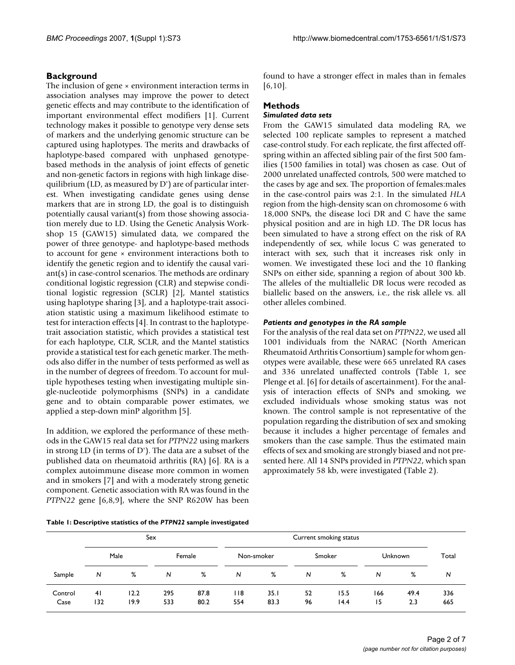# **Background**

The inclusion of gene × environment interaction terms in association analyses may improve the power to detect genetic effects and may contribute to the identification of important environmental effect modifiers [1]. Current technology makes it possible to genotype very dense sets of markers and the underlying genomic structure can be captured using haplotypes. The merits and drawbacks of haplotype-based compared with unphased genotypebased methods in the analysis of joint effects of genetic and non-genetic factors in regions with high linkage disequilibrium (LD, as measured by D') are of particular interest. When investigating candidate genes using dense markers that are in strong LD, the goal is to distinguish potentially causal variant(s) from those showing association merely due to LD. Using the Genetic Analysis Workshop 15 (GAW15) simulated data, we compared the power of three genotype- and haplotype-based methods to account for gene × environment interactions both to identify the genetic region and to identify the causal variant(s) in case-control scenarios. The methods are ordinary conditional logistic regression (CLR) and stepwise conditional logistic regression (SCLR) [2], Mantel statistics using haplotype sharing [3], and a haplotype-trait association statistic using a maximum likelihood estimate to test for interaction effects [4]. In contrast to the haplotypetrait association statistic, which provides a statistical test for each haplotype, CLR, SCLR, and the Mantel statistics provide a statistical test for each genetic marker. The methods also differ in the number of tests performed as well as in the number of degrees of freedom. To account for multiple hypotheses testing when investigating multiple single-nucleotide polymorphisms (SNPs) in a candidate gene and to obtain comparable power estimates, we applied a step-down minP algorithm [5].

In addition, we explored the performance of these methods in the GAW15 real data set for *PTPN22* using markers in strong LD (in terms of D'). The data are a subset of the published data on rheumatoid arthritis (RA) [6]. RA is a complex autoimmune disease more common in women and in smokers [7] and with a moderately strong genetic component. Genetic association with RA was found in the *PTPN22* gene [6,8,9], where the SNP R620W has been found to have a stronger effect in males than in females [6,10].

# **Methods**

# *Simulated data sets*

From the GAW15 simulated data modeling RA, we selected 100 replicate samples to represent a matched case-control study. For each replicate, the first affected offspring within an affected sibling pair of the first 500 families (1500 families in total) was chosen as case. Out of 2000 unrelated unaffected controls, 500 were matched to the cases by age and sex. The proportion of females:males in the case-control pairs was 2:1. In the simulated *HLA* region from the high-density scan on chromosome 6 with 18,000 SNPs, the disease loci DR and C have the same physical position and are in high LD. The DR locus has been simulated to have a strong effect on the risk of RA independently of sex, while locus C was generated to interact with sex, such that it increases risk only in women. We investigated these loci and the 10 flanking SNPs on either side, spanning a region of about 300 kb. The alleles of the multiallelic DR locus were recoded as biallelic based on the answers, i.e., the risk allele vs. all other alleles combined.

#### *Patients and genotypes in the RA sample*

For the analysis of the real data set on *PTPN22*, we used all 1001 individuals from the NARAC (North American Rheumatoid Arthritis Consortium) sample for whom genotypes were available, these were 665 unrelated RA cases and 336 unrelated unaffected controls (Table 1, see Plenge et al. [6] for details of ascertainment). For the analysis of interaction effects of SNPs and smoking, we excluded individuals whose smoking status was not known. The control sample is not representative of the population regarding the distribution of sex and smoking because it includes a higher percentage of females and smokers than the case sample. Thus the estimated main effects of sex and smoking are strongly biased and not presented here. All 14 SNPs provided in *PTPN22*, which span approximately 58 kb, were investigated (Table 2).

**Table 1: Descriptive statistics of the** *PTPN22* **sample investigated**

|                 | Sex       |              |            |              |            | Current smoking status |          |              |                |             |            |  |
|-----------------|-----------|--------------|------------|--------------|------------|------------------------|----------|--------------|----------------|-------------|------------|--|
|                 | Male      |              |            | Female       | Non-smoker |                        | Smoker   |              | <b>Unknown</b> |             | Total      |  |
| Sample          | N         | %            | N          | %            | N          | %                      | N        | %            | N              | %           | N          |  |
| Control<br>Case | 41<br>132 | 12.2<br>19.9 | 295<br>533 | 87.8<br>80.2 | 118<br>554 | 35.1<br>83.3           | 52<br>96 | 15.5<br>14.4 | 166<br>15      | 49.4<br>2.3 | 336<br>665 |  |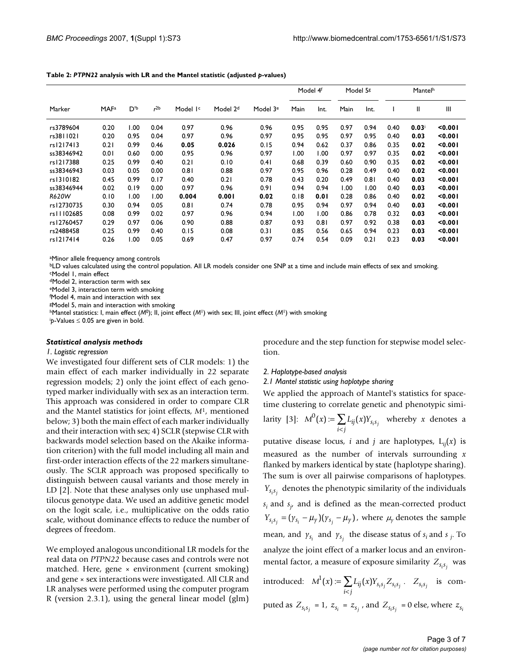|            |                         |      |                 |                      |                      |                      | Model 4f |      | Model 5g |      | <b>Mantelh</b> |              |         |
|------------|-------------------------|------|-----------------|----------------------|----------------------|----------------------|----------|------|----------|------|----------------|--------------|---------|
| Marker     | <b>MAF</b> <sup>a</sup> | D'b  | r <sup>2b</sup> | Model I <sup>c</sup> | Model 2 <sup>d</sup> | Model 3 <sup>e</sup> | Main     | Int. | Main     | Int. |                | $\mathbf{I}$ | III     |
| rs3789604  | 0.20                    | 1.00 | 0.04            | 0.97                 | 0.96                 | 0.96                 | 0.95     | 0.95 | 0.97     | 0.94 | 0.40           | $0.03$ i     | 0.001   |
| rs3811021  | 0.20                    | 0.95 | 0.04            | 0.97                 | 0.96                 | 0.97                 | 0.95     | 0.95 | 0.97     | 0.95 | 0.40           | 0.03         | 0.001   |
| rs1217413  | 0.21                    | 0.99 | 0.46            | 0.05                 | 0.026                | 0.15                 | 0.94     | 0.62 | 0.37     | 0.86 | 0.35           | 0.02         | < 0.001 |
| ss38346942 | 0.01                    | 0.60 | 0.00            | 0.95                 | 0.96                 | 0.97                 | 1.00     | 1.00 | 0.97     | 0.97 | 0.35           | 0.02         | < 0.001 |
| rs1217388  | 0.25                    | 0.99 | 0.40            | 0.21                 | 0.10                 | 0.41                 | 0.68     | 0.39 | 0.60     | 0.90 | 0.35           | 0.02         | 0.001   |
| ss38346943 | 0.03                    | 0.05 | 0.00            | 0.81                 | 0.88                 | 0.97                 | 0.95     | 0.96 | 0.28     | 0.49 | 0.40           | 0.02         | < 0.001 |
| rs1310182  | 0.45                    | 0.99 | 0.17            | 0.40                 | 0.21                 | 0.78                 | 0.43     | 0.20 | 0.49     | 0.81 | 0.40           | 0.03         | < 0.001 |
| ss38346944 | 0.02                    | 0.19 | 0.00            | 0.97                 | 0.96                 | 0.91                 | 0.94     | 0.94 | 1.00     | 1.00 | 0.40           | 0.03         | < 0.001 |
| R620W      | 0.10                    | 1.00 | 1.00            | 0.004                | 0.001                | 0.02                 | 0.18     | 0.01 | 0.28     | 0.86 | 0.40           | 0.02         | < 0.001 |
| rs12730735 | 0.30                    | 0.94 | 0.05            | 0.81                 | 0.74                 | 0.78                 | 0.95     | 0.94 | 0.97     | 0.94 | 0.40           | 0.03         | 0.001   |
| rs11102685 | 0.08                    | 0.99 | 0.02            | 0.97                 | 0.96                 | 0.94                 | 1.00     | 1.00 | 0.86     | 0.78 | 0.32           | 0.03         | < 0.001 |
| rs12760457 | 0.29                    | 0.97 | 0.06            | 0.90                 | 0.88                 | 0.87                 | 0.93     | 0.81 | 0.97     | 0.92 | 0.38           | 0.03         | 0.001   |
| rs2488458  | 0.25                    | 0.99 | 0.40            | 0.15                 | 0.08                 | 0.31                 | 0.85     | 0.56 | 0.65     | 0.94 | 0.23           | 0.03         | 0.001   |
| rs1217414  | 0.26                    | 1.00 | 0.05            | 0.69                 | 0.47                 | 0.97                 | 0.74     | 0.54 | 0.09     | 0.21 | 0.23           | 0.03         | 0.001   |

**Table 2:** *PTPN22* **analysis with LR and the Mantel statistic (adjusted** *p***-values)**

aMinor allele frequency among controls

bLD values calculated using the control population. All LR models consider one SNP at a time and include main effects of sex and smoking. cModel 1, main effect

dModel 2, interaction term with sex

eModel 3, interaction term with smoking

f Model 4, main and interaction with sex

gModel 5, main and interaction with smoking

hMantel statistics: I, main effect (*M*0); II, joint effect (*M*1) with sex; III, joint effect (*M*1) with smoking

i *p*-Values ≤ 0.05 are given in bold.

#### *Statistical analysis methods*

#### *1. Logistic regression*

We investigated four different sets of CLR models: 1) the main effect of each marker individually in 22 separate regression models; 2) only the joint effect of each genotyped marker individually with sex as an interaction term. This approach was considered in order to compare CLR and the Mantel statistics for joint effects, *M*1, mentioned below; 3) both the main effect of each marker individually and their interaction with sex; 4) SCLR (stepwise CLR with backwards model selection based on the Akaike information criterion) with the full model including all main and first-order interaction effects of the 22 markers simultaneously. The SCLR approach was proposed specifically to distinguish between causal variants and those merely in LD [2]. Note that these analyses only use unphased multilocus genotype data. We used an additive genetic model on the logit scale, i.e., multiplicative on the odds ratio scale, without dominance effects to reduce the number of degrees of freedom.

We employed analogous unconditional LR models for the real data on *PTPN22* because cases and controls were not matched. Here, gene × environment (current smoking) and gene × sex interactions were investigated. All CLR and LR analyses were performed using the computer program R (version 2.3.1), using the general linear model (glm)

procedure and the step function for stepwise model selection.

#### *2. Haplotype-based analysis*

*2.1 Mantel statistic using haplotype sharing*

We applied the approach of Mantel's statistics for spacetime clustering to correlate genetic and phenotypic simi-

larity [3]: 
$$
M^0(x) := \sum_{i < j} L_{ij}(x) Y_{s_i s_j}
$$
 whereby  $x$  denotes a

putative disease locus, *i* and *j* are haplotypes,  $L_{ii}(x)$  is measured as the number of intervals surrounding *x* flanked by markers identical by state (haplotype sharing). The sum is over all pairwise comparisons of haplotypes.  $Y_{s_i s_j}$  denotes the phenotypic similarity of the individuals  $s_i$  and  $s_j$ , and is defined as the mean-corrected product  $Y_{s_i s_j} = (\gamma_{s_i} - \mu_{\gamma})(\gamma_{s_j} - \mu_{\gamma})$ , where  $\mu_{\gamma}$  denotes the sample mean, and  $\gamma_{s_i}$  and  $\gamma_{s_j}$  the disease status of  $s_i$  and  $s_j$ . To analyze the joint effect of a marker locus and an environmental factor, a measure of exposure similarity  $Z_{s_i s_j}$  was introduced:  $M^1(x) := \sum L_{ij}(x) Y_{s_i s_j} Z_{s_i s_j}$ .  $Z_{s_i s_j}$  is com- $\sum_{i < j} -y$  (\*\*) –  $s_i s_j - s_i s_j$  $1^1(x) := \sum L_{ii}(x)$  $\sum_{i < j} L_{ij}(x) Y_{s_i s_j} Z_{s_i s_j}$ .  $Z_{s_i s_j}$ 

puted as  $Z_{s_i s_j} = 1$ ,  $z_{s_i} = z_{s_j}$ , and  $Z_{s_i s_j} = 0$  else, where  $z_{s_i}$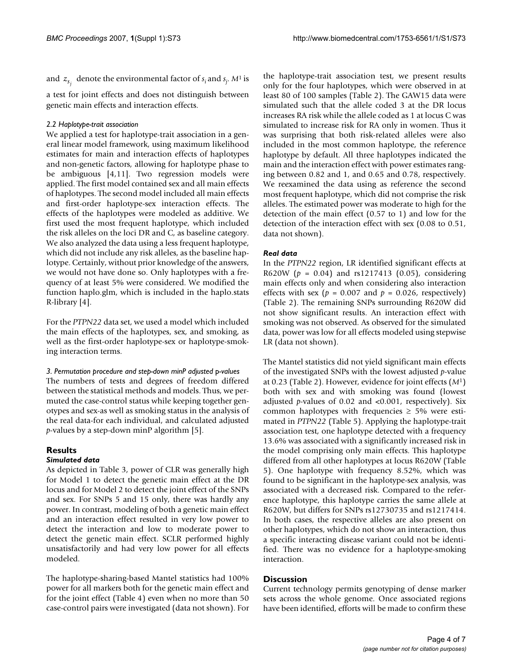and  $z_{s_j}$  denote the environmental factor of  $s_i$  and  $s_j$ .  $M^1$  is

a test for joint effects and does not distinguish between genetic main effects and interaction effects.

#### *2.2 Haplotype-trait association*

We applied a test for haplotype-trait association in a general linear model framework, using maximum likelihood estimates for main and interaction effects of haplotypes and non-genetic factors, allowing for haplotype phase to be ambiguous [4,11]. Two regression models were applied. The first model contained sex and all main effects of haplotypes. The second model included all main effects and first-order haplotype-sex interaction effects. The effects of the haplotypes were modeled as additive. We first used the most frequent haplotype, which included the risk alleles on the loci DR and C, as baseline category. We also analyzed the data using a less frequent haplotype, which did not include any risk alleles, as the baseline haplotype. Certainly, without prior knowledge of the answers, we would not have done so. Only haplotypes with a frequency of at least 5% were considered. We modified the function haplo.glm, which is included in the haplo.stats R-library [4].

For the *PTPN22* data set, we used a model which included the main effects of the haplotypes, sex, and smoking, as well as the first-order haplotype-sex or haplotype-smoking interaction terms.

#### *3. Permutation procedure and step-down minP adjusted* p*-values*

The numbers of tests and degrees of freedom differed between the statistical methods and models. Thus, we permuted the case-control status while keeping together genotypes and sex-as well as smoking status in the analysis of the real data-for each individual, and calculated adjusted *p*-values by a step-down minP algorithm [5].

# **Results**

# *Simulated data*

As depicted in Table 3, power of CLR was generally high for Model 1 to detect the genetic main effect at the DR locus and for Model 2 to detect the joint effect of the SNPs and sex. For SNPs 5 and 15 only, there was hardly any power. In contrast, modeling of both a genetic main effect and an interaction effect resulted in very low power to detect the interaction and low to moderate power to detect the genetic main effect. SCLR performed highly unsatisfactorily and had very low power for all effects modeled.

The haplotype-sharing-based Mantel statistics had 100% power for all markers both for the genetic main effect and for the joint effect (Table 4) even when no more than 50 case-control pairs were investigated (data not shown). For the haplotype-trait association test, we present results only for the four haplotypes, which were observed in at least 80 of 100 samples (Table 2). The GAW15 data were simulated such that the allele coded 3 at the DR locus increases RA risk while the allele coded as 1 at locus C was simulated to increase risk for RA only in women. Thus it was surprising that both risk-related alleles were also included in the most common haplotype, the reference haplotype by default. All three haplotypes indicated the main and the interaction effect with power estimates ranging between 0.82 and 1, and 0.65 and 0.78, respectively. We reexamined the data using as reference the second most frequent haplotype, which did not comprise the risk alleles. The estimated power was moderate to high for the detection of the main effect (0.57 to 1) and low for the detection of the interaction effect with sex (0.08 to 0.51, data not shown).

#### *Real data*

In the *PTPN22* region, LR identified significant effects at R620W (*p* = 0.04) and rs1217413 (0.05), considering main effects only and when considering also interaction effects with sex ( $p = 0.007$  and  $p = 0.026$ , respectively) (Table 2). The remaining SNPs surrounding R620W did not show significant results. An interaction effect with smoking was not observed. As observed for the simulated data, power was low for all effects modeled using stepwise LR (data not shown).

The Mantel statistics did not yield significant main effects of the investigated SNPs with the lowest adjusted *p*-value at 0.23 (Table 2). However, evidence for joint effects (*M*1) both with sex and with smoking was found (lowest adjusted *p*-values of 0.02 and <0.001, respectively). Six common haplotypes with frequencies  $\geq$  5% were estimated in *PTPN22* (Table 5). Applying the haplotype-trait association test, one haplotype detected with a frequency 13.6% was associated with a significantly increased risk in the model comprising only main effects. This haplotype differed from all other haplotypes at locus R620W (Table 5). One haplotype with frequency 8.52%, which was found to be significant in the haplotype-sex analysis, was associated with a decreased risk. Compared to the reference haplotype, this haplotype carries the same allele at R620W, but differs for SNPs rs12730735 and rs1217414. In both cases, the respective alleles are also present on other haplotypes, which do not show an interaction, thus a specific interacting disease variant could not be identified. There was no evidence for a haplotype-smoking interaction.

# **Discussion**

Current technology permits genotyping of dense marker sets across the whole genome. Once associated regions have been identified, efforts will be made to confirm these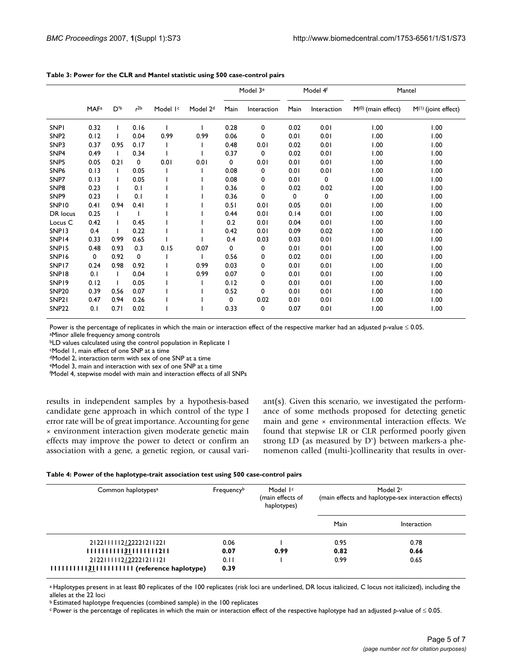|                    |                         |                |                 |                      |                      |      | Model 3 <sup>e</sup> | Model 4f |             | Mantel               |                     |
|--------------------|-------------------------|----------------|-----------------|----------------------|----------------------|------|----------------------|----------|-------------|----------------------|---------------------|
|                    | <b>MAF</b> <sup>a</sup> | $D^{\prime b}$ | r <sup>2b</sup> | Model I <sup>c</sup> | Model 2 <sup>d</sup> | Main | Interaction          | Main     | Interaction | $M(0)$ (main effect) | M(1) (joint effect) |
| <b>SNPI</b>        | 0.32                    |                | 0.16            |                      |                      | 0.28 | 0                    | 0.02     | 0.01        | 1.00                 | 00.1                |
| SNP <sub>2</sub>   | 0.12                    |                | 0.04            | 0.99                 | 0.99                 | 0.06 | 0                    | 0.01     | 0.01        | 1.00                 | 1.00                |
| SNP3               | 0.37                    | 0.95           | 0.17            |                      |                      | 0.48 | 0.01                 | 0.02     | 0.01        | 1.00                 | 1.00                |
| SNP <sub>4</sub>   | 0.49                    | I.             | 0.34            |                      |                      | 0.37 | 0                    | 0.02     | 0.01        | 1.00                 | 1.00                |
| SNP <sub>5</sub>   | 0.05                    | 0.21           | 0               | 0.01                 | 0.01                 | 0    | 0.01                 | 0.01     | 0.01        | 1.00                 | 1.00                |
| SNP <sub>6</sub>   | 0.13                    |                | 0.05            |                      |                      | 0.08 | 0                    | 0.01     | 0.01        | 1.00                 | 1.00                |
| SNP7               | 0.13                    |                | 0.05            |                      |                      | 0.08 | 0                    | 0.01     | $\mathbf 0$ | 1.00                 | 1.00                |
| SNP8               | 0.23                    |                | 0.1             |                      |                      | 0.36 | 0                    | 0.02     | 0.02        | 1.00                 | 1.00                |
| SNP <sub>9</sub>   | 0.23                    |                | 0.1             |                      |                      | 0.36 | 0                    | 0        | 0           | 1.00                 | 1.00                |
| SNP10              | 0.41                    | 0.94           | 0.41            |                      |                      | 0.51 | 0.01                 | 0.05     | 0.01        | 1.00                 | 1.00                |
| DR locus           | 0.25                    | T              |                 |                      |                      | 0.44 | 0.01                 | 0.14     | 0.01        | 1.00                 | 1.00                |
| Locus <sub>C</sub> | 0.42                    | T              | 0.45            |                      |                      | 0.2  | 0.01                 | 0.04     | 0.01        | 1.00                 | 1.00                |
| SNP13              | 0.4                     |                | 0.22            |                      |                      | 0.42 | 0.01                 | 0.09     | 0.02        | 1.00                 | 1.00                |
| SNP14              | 0.33                    | 0.99           | 0.65            |                      |                      | 0.4  | 0.03                 | 0.03     | 0.01        | 1.00                 | 1.00                |
| SNP15              | 0.48                    | 0.93           | 0.3             | 0.15                 | 0.07                 | 0    | 0                    | 0.01     | 0.01        | 1.00                 | 1.00                |
| SNP16              | 0                       | 0.92           | 0               |                      |                      | 0.56 | 0                    | 0.02     | 0.01        | 1.00                 | 1.00                |
| SNP17              | 0.24                    | 0.98           | 0.92            |                      | 0.99                 | 0.03 | 0                    | 0.01     | 0.01        | 1.00                 | 1.00                |
| SNP18              | 0.1                     | T              | 0.04            |                      | 0.99                 | 0.07 | 0                    | 0.01     | 0.01        | 1.00                 | 1.00                |
| SNP19              | 0.12                    | ı              | 0.05            |                      |                      | 0.12 | 0                    | 0.01     | 0.01        | 1.00                 | 1.00                |
| SNP <sub>20</sub>  | 0.39                    | 0.56           | 0.07            |                      |                      | 0.52 | 0                    | 0.01     | 0.01        | 1.00                 | 1.00                |
| SNP <sub>21</sub>  | 0.47                    | 0.94           | 0.26            |                      |                      | 0    | 0.02                 | 0.01     | 0.01        | 1.00                 | 1.00                |
| <b>SNP22</b>       | 0.1                     | 0.71           | 0.02            |                      |                      | 0.33 | 0                    | 0.07     | 0.01        | 1.00                 | 1.00                |

#### **Table 3: Power for the CLR and Mantel statistic using 500 case-control pairs**

Power is the percentage of replicates in which the main or interaction effect of the respective marker had an adjusted *p*-value ≤ 0.05.

aMinor allele frequency among controls

bLD values calculated using the control population in Replicate 1

cModel 1, main effect of one SNP at a time

dModel 2, interaction term with sex of one SNP at a time

eModel 3, main and interaction with sex of one SNP at a time

f Model 4, stepwise model with main and interaction effects of all SNPs

results in independent samples by a hypothesis-based candidate gene approach in which control of the type I error rate will be of great importance. Accounting for gene × environment interaction given moderate genetic main effects may improve the power to detect or confirm an association with a gene, a genetic region, or causal variant(s). Given this scenario, we investigated the performance of some methods proposed for detecting genetic main and gene × environmental interaction effects. We found that stepwise LR or CLR performed poorly given strong LD (as measured by D') between markers-a phenomenon called (multi-)collinearity that results in over-

| Table 4: Power of the haplotype-trait association test using 500 case-control pairs |  |  |  |
|-------------------------------------------------------------------------------------|--|--|--|
|                                                                                     |  |  |  |

| Common haplotypes <sup>a</sup>                                                   | Frequencyb   | Model I <sup>c</sup><br>(main effects of<br>haplotypes) | Model 2 <sup>c</sup><br>(main effects and haplotype-sex interaction effects) |             |  |  |
|----------------------------------------------------------------------------------|--------------|---------------------------------------------------------|------------------------------------------------------------------------------|-------------|--|--|
|                                                                                  |              |                                                         | Main                                                                         | Interaction |  |  |
| 2 22  1 12/2222 2 1221                                                           | 0.06         |                                                         | 0.95                                                                         | 0.78        |  |  |
| 11111111113111111111211                                                          | 0.07         | 0.99                                                    | 0.82                                                                         | 0.66        |  |  |
| 2 22     2/2222 2  12 <br>IIIIIIIIII <u>31</u> IIIIIIIIIII (reference haplotype) | 0.11<br>0.39 |                                                         | 0.99                                                                         | 0.65        |  |  |

a Haplotypes present in at least 80 replicates of the 100 replicates (risk loci are underlined, DR locus italicized, C locus not italicized), including the alleles at the 22 loci

b Estimated haplotype frequencies (combined sample) in the 100 replicates

c Power is the percentage of replicates in which the main or interaction effect of the respective haplotype had an adjusted *p*-value of ≤ 0.05.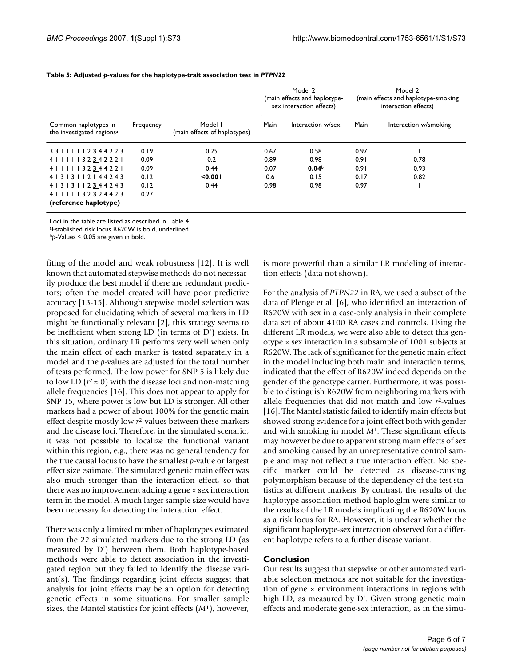|                                                               |           |                                         | Model 2<br>(main effects and haplotype-<br>sex interaction effects) |                   | Model 2<br>(main effects and haplotype-smoking<br>interaction effects) |                       |  |
|---------------------------------------------------------------|-----------|-----------------------------------------|---------------------------------------------------------------------|-------------------|------------------------------------------------------------------------|-----------------------|--|
| Common haplotypes in<br>the investigated regions <sup>a</sup> | Frequency | Model I<br>(main effects of haplotypes) | Main                                                                | Interaction w/sex | Main                                                                   | Interaction w/smoking |  |
| 3311112344223                                                 | 0.19      | 0.25                                    | 0.67                                                                | 0.58              | 0.97                                                                   |                       |  |
| 4 1 1 1 1 1 3 2 3 4 2 2 2 1                                   | 0.09      | 0.2                                     | 0.89                                                                | 0.98              | 0.91                                                                   | 0.78                  |  |
| 4           3 2 3 4 4 2 2                                     | 0.09      | 0.44                                    | 0.07                                                                | 0.04 <sup>b</sup> | 0.91                                                                   | 0.93                  |  |
| 4   3   3     2   4 4 2 4 3                                   | 0.12      | < 0.001                                 | 0.6                                                                 | 0.15              | 0.17                                                                   | 0.82                  |  |
| 4   3   3     2 3 4 4 2 4 3                                   | 0.12      | 0.44                                    | 0.98                                                                | 0.98              | 0.97                                                                   |                       |  |
| 4           3 2 3 2 4 4 2 3                                   | 0.27      |                                         |                                                                     |                   |                                                                        |                       |  |
| (reference haplotype)                                         |           |                                         |                                                                     |                   |                                                                        |                       |  |

#### **Table 5: Adjusted** *p***-values for the haplotype-trait association test in** *PTPN22*

Loci in the table are listed as described in Table 4.

aEstablished risk locus R620W is bold, underlined

b*p*-Values ≤ 0.05 are given in bold.

fiting of the model and weak robustness [12]. It is well known that automated stepwise methods do not necessarily produce the best model if there are redundant predictors; often the model created will have poor predictive accuracy [13-15]. Although stepwise model selection was proposed for elucidating which of several markers in LD might be functionally relevant [2], this strategy seems to be inefficient when strong LD (in terms of D') exists. In this situation, ordinary LR performs very well when only the main effect of each marker is tested separately in a model and the *p*-values are adjusted for the total number of tests performed. The low power for SNP 5 is likely due to low LD ( $r^2 \approx 0$ ) with the disease loci and non-matching allele frequencies [16]. This does not appear to apply for SNP 15, where power is low but LD is stronger. All other markers had a power of about 100% for the genetic main effect despite mostly low *r*2-values between these markers and the disease loci. Therefore, in the simulated scenario, it was not possible to localize the functional variant within this region, e.g., there was no general tendency for the true causal locus to have the smallest *p*-value or largest effect size estimate. The simulated genetic main effect was also much stronger than the interaction effect, so that there was no improvement adding a gene × sex interaction term in the model. A much larger sample size would have been necessary for detecting the interaction effect.

There was only a limited number of haplotypes estimated from the 22 simulated markers due to the strong LD (as measured by D') between them. Both haplotype-based methods were able to detect association in the investigated region but they failed to identify the disease variant(s). The findings regarding joint effects suggest that analysis for joint effects may be an option for detecting genetic effects in some situations. For smaller sample sizes, the Mantel statistics for joint effects (*M*1), however,

is more powerful than a similar LR modeling of interaction effects (data not shown).

For the analysis of *PTPN22* in RA, we used a subset of the data of Plenge et al. [6], who identified an interaction of R620W with sex in a case-only analysis in their complete data set of about 4100 RA cases and controls. Using the different LR models, we were also able to detect this genotype × sex interaction in a subsample of 1001 subjects at R620W. The lack of significance for the genetic main effect in the model including both main and interaction terms, indicated that the effect of R620W indeed depends on the gender of the genotype carrier. Furthermore, it was possible to distinguish R620W from neighboring markers with allele frequencies that did not match and low *r*2-values [16]. The Mantel statistic failed to identify main effects but showed strong evidence for a joint effect both with gender and with smoking in model *M*1. These significant effects may however be due to apparent strong main effects of sex and smoking caused by an unrepresentative control sample and may not reflect a true interaction effect. No specific marker could be detected as disease-causing polymorphism because of the dependency of the test statistics at different markers. By contrast, the results of the haplotype association method haplo.glm were similar to the results of the LR models implicating the R620W locus as a risk locus for RA. However, it is unclear whether the significant haplotype-sex interaction observed for a different haplotype refers to a further disease variant.

#### **Conclusion**

Our results suggest that stepwise or other automated variable selection methods are not suitable for the investigation of gene × environment interactions in regions with high LD, as measured by D'. Given strong genetic main effects and moderate gene-sex interaction, as in the simu